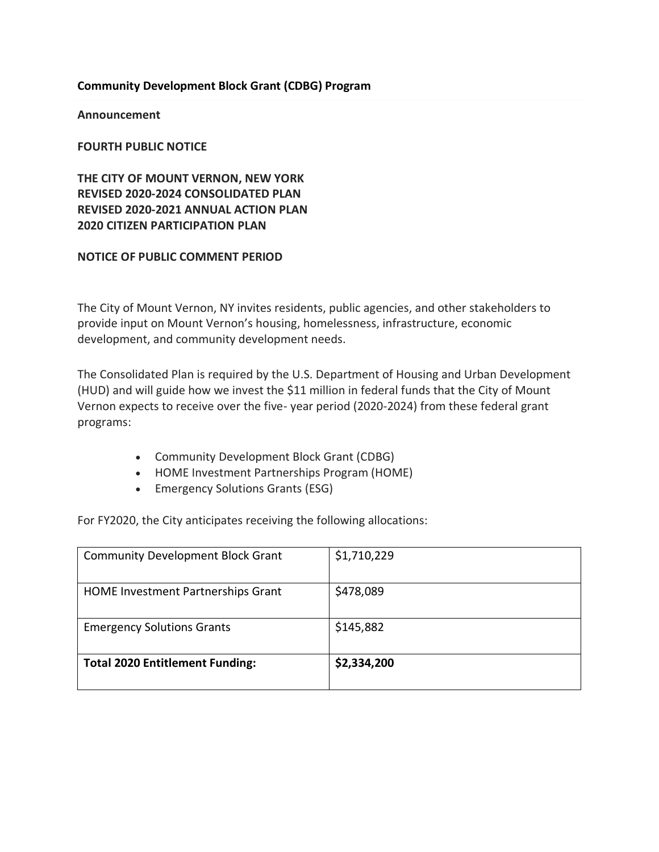### **Community Development Block Grant (CDBG) Program**

**Announcement**

**FOURTH PUBLIC NOTICE**

**THE CITY OF MOUNT VERNON, NEW YORK REVISED 2020-2024 CONSOLIDATED PLAN REVISED 2020-2021 ANNUAL ACTION PLAN 2020 CITIZEN PARTICIPATION PLAN**

#### **NOTICE OF PUBLIC COMMENT PERIOD**

The City of Mount Vernon, NY invites residents, public agencies, and other stakeholders to provide input on Mount Vernon's housing, homelessness, infrastructure, economic development, and community development needs.

The Consolidated Plan is required by the U.S. Department of Housing and Urban Development (HUD) and will guide how we invest the \$11 million in federal funds that the City of Mount Vernon expects to receive over the five- year period (2020-2024) from these federal grant programs:

- Community Development Block Grant (CDBG)
- HOME Investment Partnerships Program (HOME)
- Emergency Solutions Grants (ESG)

For FY2020, the City anticipates receiving the following allocations:

| <b>Total 2020 Entitlement Funding:</b>    | \$2,334,200 |
|-------------------------------------------|-------------|
| <b>Emergency Solutions Grants</b>         | \$145,882   |
| <b>HOME Investment Partnerships Grant</b> | \$478,089   |
| <b>Community Development Block Grant</b>  | \$1,710,229 |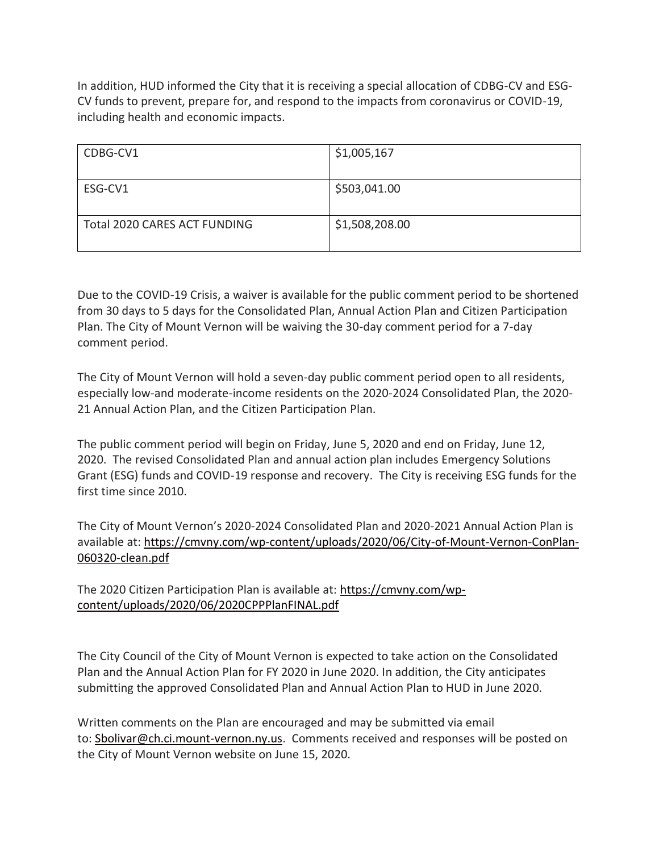In addition, HUD informed the City that it is receiving a special allocation of CDBG-CV and ESG-CV funds to prevent, prepare for, and respond to the impacts from coronavirus or COVID-19, including health and economic impacts.

| CDBG-CV1                     | \$1,005,167    |
|------------------------------|----------------|
| ESG-CV1                      | \$503,041.00   |
| Total 2020 CARES ACT FUNDING | \$1,508,208.00 |

Due to the COVID-19 Crisis, a waiver is available for the public comment period to be shortened from 30 days to 5 days for the Consolidated Plan, Annual Action Plan and Citizen Participation Plan. The City of Mount Vernon will be waiving the 30-day comment period for a 7-day comment period.

The City of Mount Vernon will hold a seven-day public comment period open to all residents, especially low-and moderate-income residents on the 2020-2024 Consolidated Plan, the 2020- 21 Annual Action Plan, and the Citizen Participation Plan.

The public comment period will begin on Friday, June 5, 2020 and end on Friday, June 12, 2020. The revised Consolidated Plan and annual action plan includes Emergency Solutions Grant (ESG) funds and COVID-19 response and recovery. The City is receiving ESG funds for the first time since 2010.

The City of Mount Vernon's 2020-2024 Consolidated Plan and 2020-2021 Annual Action Plan is available at: [https://cmvny.com/wp-content/uploads/2020/06/City-of-Mount-Vernon-ConPlan-](https://cmvny.com/wp-content/uploads/2020/06/City-of-Mount-Vernon-ConPlan-060320-clean.pdf)[060320-clean.pdf](https://cmvny.com/wp-content/uploads/2020/06/City-of-Mount-Vernon-ConPlan-060320-clean.pdf)

The 2020 Citizen Participation Plan is available at: [https://cmvny.com/wp](https://cmvny.com/wp-content/uploads/2020/06/2020CPPPlanFINAL.pdf)[content/uploads/2020/06/2020CPPPlanFINAL.pdf](https://cmvny.com/wp-content/uploads/2020/06/2020CPPPlanFINAL.pdf)

The City Council of the City of Mount Vernon is expected to take action on the Consolidated Plan and the Annual Action Plan for FY 2020 in June 2020. In addition, the City anticipates submitting the approved Consolidated Plan and Annual Action Plan to HUD in June 2020.

Written comments on the Plan are encouraged and may be submitted via email to: [Sbolivar@ch.ci.mount-vernon.ny.us.](mailto:Sbolivar@ch.ci.mount-vernon.ny.us) Comments received and responses will be posted on the City of Mount Vernon website on June 15, 2020.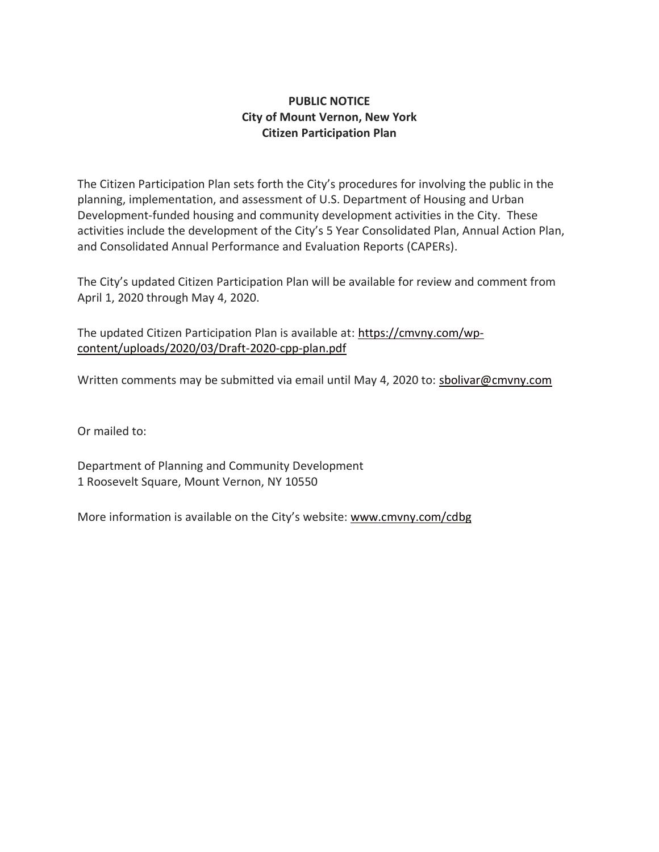## **PUBLIC NOTICE City of Mount Vernon, New York Citizen Participation Plan**

The Citizen Participation Plan sets forth the City's procedures for involving the public in the planning, implementation, and assessment of U.S. Department of Housing and Urban Development-funded housing and community development activities in the City. These activities include the development of the City's 5 Year Consolidated Plan, Annual Action Plan, and Consolidated Annual Performance and Evaluation Reports (CAPERs).

The City's updated Citizen Participation Plan will be available for review and comment from April 1, 2020 through May 4, 2020.

The updated Citizen Participation Plan is available at: [https://cmvny.com/wp](https://cmvny.com/wp-content/uploads/2020/03/Draft-2020-cpp-plan.pdf)[content/uploads/2020/03/Draft-2020-cpp-plan.pdf](https://cmvny.com/wp-content/uploads/2020/03/Draft-2020-cpp-plan.pdf)

Written comments may be submitted via email until May 4, 2020 to: [sbolivar@cmvny.com](mailto:sbolivar@cmvny.com)

Or mailed to:

Department of Planning and Community Development 1 Roosevelt Square, Mount Vernon, NY 10550

More information is available on the City's website: [www.cmvny.com/cdbg](http://www.cmvny.com/cdbg)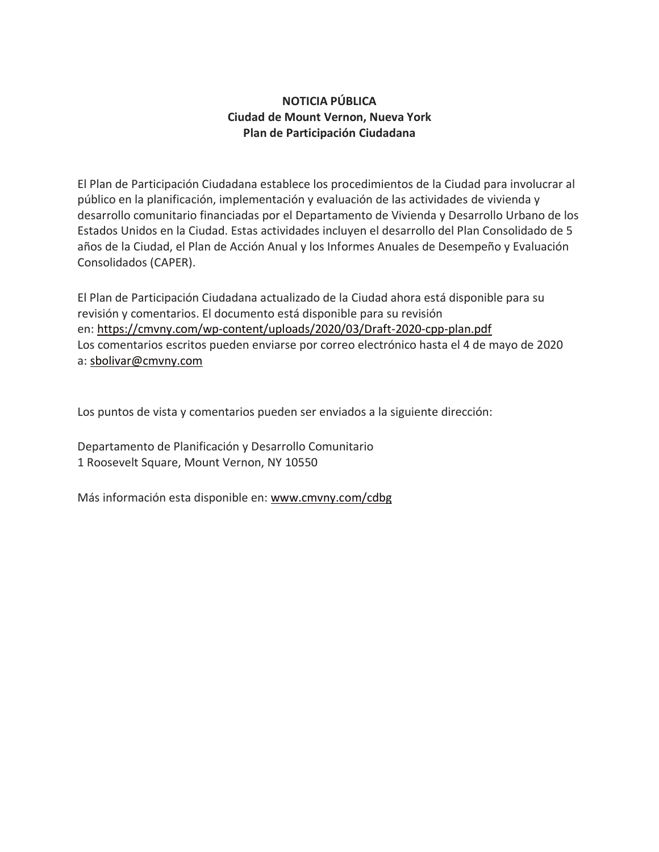# **NOTICIA PÚBLICA Ciudad de Mount Vernon, Nueva York Plan de Participación Ciudadana**

El Plan de Participación Ciudadana establece los procedimientos de la Ciudad para involucrar al público en la planificación, implementación y evaluación de las actividades de vivienda y desarrollo comunitario financiadas por el Departamento de Vivienda y Desarrollo Urbano de los Estados Unidos en la Ciudad. Estas actividades incluyen el desarrollo del Plan Consolidado de 5 años de la Ciudad, el Plan de Acción Anual y los Informes Anuales de Desempeño y Evaluación Consolidados (CAPER).

El Plan de Participación Ciudadana actualizado de la Ciudad ahora está disponible para su revisión y comentarios. El documento está disponible para su revisión en: <https://cmvny.com/wp-content/uploads/2020/03/Draft-2020-cpp-plan.pdf> Los comentarios escritos pueden enviarse por correo electrónico hasta el 4 de mayo de 2020 a: [sbolivar@cmvny.com](mailto:sbolivar@cmvny.com)

Los puntos de vista y comentarios pueden ser enviados a la siguiente dirección:

Departamento de Planificación y Desarrollo Comunitario 1 Roosevelt Square, Mount Vernon, NY 10550

Más información esta disponible en: [www.cmvny.com/cdbg](http://www.cmvny.com/cdbg)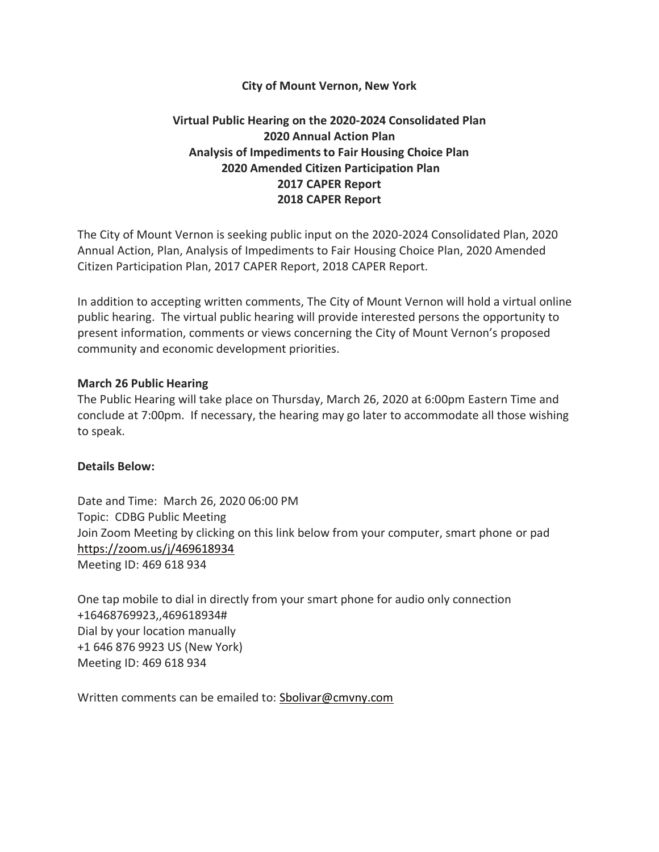#### **City of Mount Vernon, New York**

# **Virtual Public Hearing on the 2020-2024 Consolidated Plan 2020 Annual Action Plan Analysis of Impediments to Fair Housing Choice Plan 2020 Amended Citizen Participation Plan 2017 CAPER Report 2018 CAPER Report**

The City of Mount Vernon is seeking public input on the 2020-2024 Consolidated Plan, 2020 Annual Action, Plan, Analysis of Impediments to Fair Housing Choice Plan, 2020 Amended Citizen Participation Plan, 2017 CAPER Report, 2018 CAPER Report.

In addition to accepting written comments, The City of Mount Vernon will hold a virtual online public hearing. The virtual public hearing will provide interested persons the opportunity to present information, comments or views concerning the City of Mount Vernon's proposed community and economic development priorities.

#### **March 26 Public Hearing**

The Public Hearing will take place on Thursday, March 26, 2020 at 6:00pm Eastern Time and conclude at 7:00pm. If necessary, the hearing may go later to accommodate all those wishing to speak.

#### **Details Below:**

Date and Time: March 26, 2020 06:00 PM Topic: CDBG Public Meeting Join Zoom Meeting by clicking on this link below from your computer, smart phone or pad <https://zoom.us/j/469618934> Meeting ID: 469 618 934

One tap mobile to dial in directly from your smart phone for audio only connection +16468769923,,469618934# Dial by your location manually +1 646 876 9923 US (New York) Meeting ID: 469 618 934

Written comments can be emailed to: [Sbolivar@cmvny.com](mailto:Sbolivar@cmvny.com)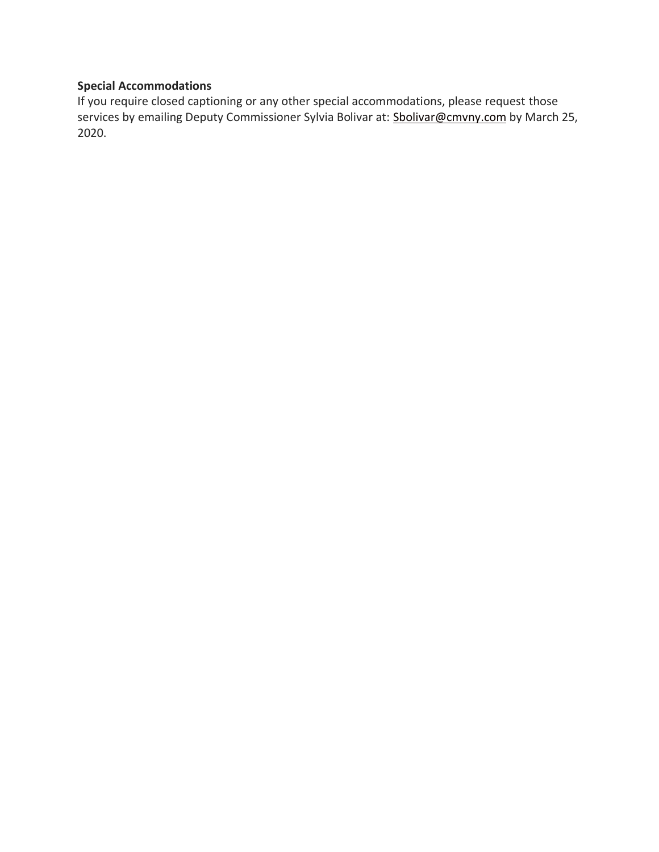# **Special Accommodations**

If you require closed captioning or any other special accommodations, please request those services by emailing Deputy Commissioner Sylvia Bolivar at: [Sbolivar@cmvny.com](mailto:Sbolivar@cmvny.com) by March 25, 2020.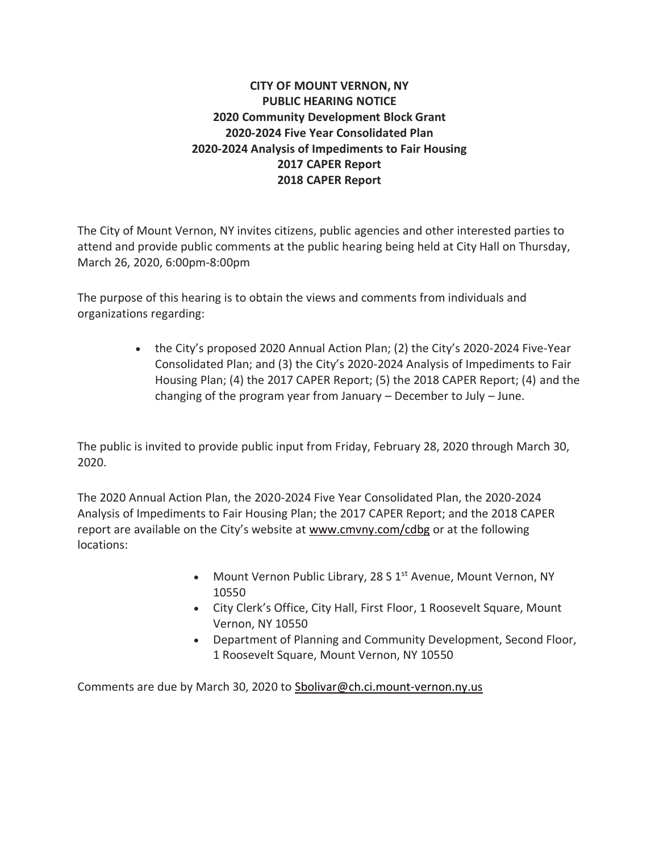# **CITY OF MOUNT VERNON, NY PUBLIC HEARING NOTICE 2020 Community Development Block Grant 2020-2024 Five Year Consolidated Plan 2020-2024 Analysis of Impediments to Fair Housing 2017 CAPER Report 2018 CAPER Report**

The City of Mount Vernon, NY invites citizens, public agencies and other interested parties to attend and provide public comments at the public hearing being held at City Hall on Thursday, March 26, 2020, 6:00pm-8:00pm

The purpose of this hearing is to obtain the views and comments from individuals and organizations regarding:

> • the City's proposed 2020 Annual Action Plan; (2) the City's 2020-2024 Five-Year Consolidated Plan; and (3) the City's 2020-2024 Analysis of Impediments to Fair Housing Plan; (4) the 2017 CAPER Report; (5) the 2018 CAPER Report; (4) and the changing of the program year from January – December to July – June.

The public is invited to provide public input from Friday, February 28, 2020 through March 30, 2020.

The 2020 Annual Action Plan, the 2020-2024 Five Year Consolidated Plan, the 2020-2024 Analysis of Impediments to Fair Housing Plan; the 2017 CAPER Report; and the 2018 CAPER report are available on the City's website at [www.cmvny.com/cdbg](http://www.cmvny.com/cdbg) or at the following locations:

- Mount Vernon Public Library, 28 S 1<sup>st</sup> Avenue, Mount Vernon, NY 10550
- City Clerk's Office, City Hall, First Floor, 1 Roosevelt Square, Mount Vernon, NY 10550
- Department of Planning and Community Development, Second Floor, 1 Roosevelt Square, Mount Vernon, NY 10550

Comments are due by March 30, 2020 to [Sbolivar@ch.ci.mount-vernon.ny.us](mailto:Sbolivar@ch.ci.mount-vernon.ny.us)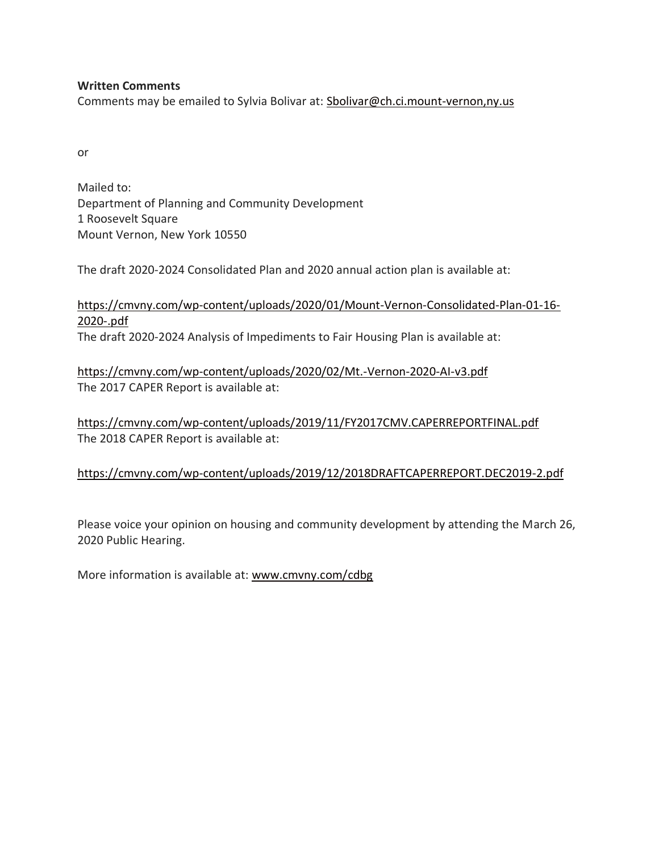### **Written Comments**

Comments may be emailed to Sylvia Bolivar at: [Sbolivar@ch.ci.mount-vernon,ny.us](mailto:Sbolivar@ch.ci.mount-vernon,ny.us)

or

Mailed to: Department of Planning and Community Development 1 Roosevelt Square Mount Vernon, New York 10550

The draft 2020-2024 Consolidated Plan and 2020 annual action plan is available at:

[https://cmvny.com/wp-content/uploads/2020/01/Mount-Vernon-Consolidated-Plan-01-16-](https://cmvny.com/wp-content/uploads/2020/01/Mount-Vernon-Consolidated-Plan-01-16-2020-.pdf) [2020-.pdf](https://cmvny.com/wp-content/uploads/2020/01/Mount-Vernon-Consolidated-Plan-01-16-2020-.pdf) The draft 2020-2024 Analysis of Impediments to Fair Housing Plan is available at:

<https://cmvny.com/wp-content/uploads/2020/02/Mt.-Vernon-2020-AI-v3.pdf> The 2017 CAPER Report is available at:

<https://cmvny.com/wp-content/uploads/2019/11/FY2017CMV.CAPERREPORTFINAL.pdf> The 2018 CAPER Report is available at:

## <https://cmvny.com/wp-content/uploads/2019/12/2018DRAFTCAPERREPORT.DEC2019-2.pdf>

Please voice your opinion on housing and community development by attending the March 26, 2020 Public Hearing.

More information is available at: [www.cmvny.com/cdbg](http://www.cmvny.com/cdbg)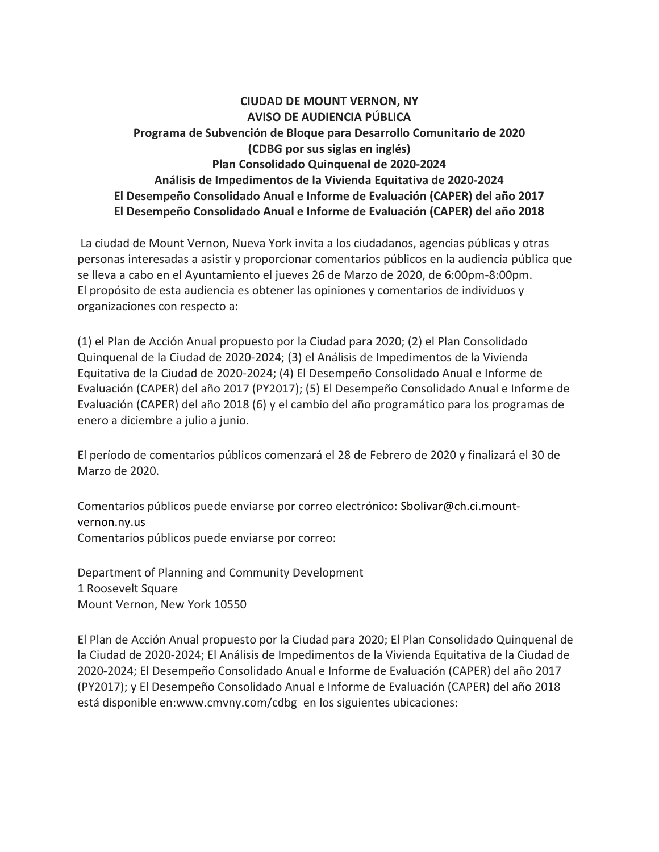# **CIUDAD DE MOUNT VERNON, NY AVISO DE AUDIENCIA PÚBLICA Programa de Subvención de Bloque para Desarrollo Comunitario de 2020 (CDBG por sus siglas en inglés) Plan Consolidado Quinquenal de 2020-2024 Análisis de Impedimentos de la Vivienda Equitativa de 2020-2024 El Desempeño Consolidado Anual e Informe de Evaluación (CAPER) del año 2017 El Desempeño Consolidado Anual e Informe de Evaluación (CAPER) del año 2018**

La ciudad de Mount Vernon, Nueva York invita a los ciudadanos, agencias públicas y otras personas interesadas a asistir y proporcionar comentarios públicos en la audiencia pública que se lleva a cabo en el Ayuntamiento el jueves 26 de Marzo de 2020, de 6:00pm-8:00pm. El propósito de esta audiencia es obtener las opiniones y comentarios de individuos y organizaciones con respecto a:

(1) el Plan de Acción Anual propuesto por la Ciudad para 2020; (2) el Plan Consolidado Quinquenal de la Ciudad de 2020-2024; (3) el Análisis de Impedimentos de la Vivienda Equitativa de la Ciudad de 2020-2024; (4) El Desempeño Consolidado Anual e Informe de Evaluación (CAPER) del año 2017 (PY2017); (5) El Desempeño Consolidado Anual e Informe de Evaluación (CAPER) del año 2018 (6) y el cambio del año programático para los programas de enero a diciembre a julio a junio.

El período de comentarios públicos comenzará el 28 de Febrero de 2020 y finalizará el 30 de Marzo de 2020.

Comentarios públicos puede enviarse por correo electrónico: **Sholivar@ch.ci.mount**[vernon.ny.us](mailto:Sbolivar@ch.ci.mount-vernon.ny.us) Comentarios públicos puede enviarse por correo:

Department of Planning and Community Development 1 Roosevelt Square Mount Vernon, New York 10550

El Plan de Acción Anual propuesto por la Ciudad para 2020; El Plan Consolidado Quinquenal de la Ciudad de 2020-2024; El Análisis de Impedimentos de la Vivienda Equitativa de la Ciudad de 2020-2024; El Desempeño Consolidado Anual e Informe de Evaluación (CAPER) del año 2017 (PY2017); y El Desempeño Consolidado Anual e Informe de Evaluación (CAPER) del año 2018 está disponible en:www.cmvny.com/cdbg en los siguientes ubicaciones: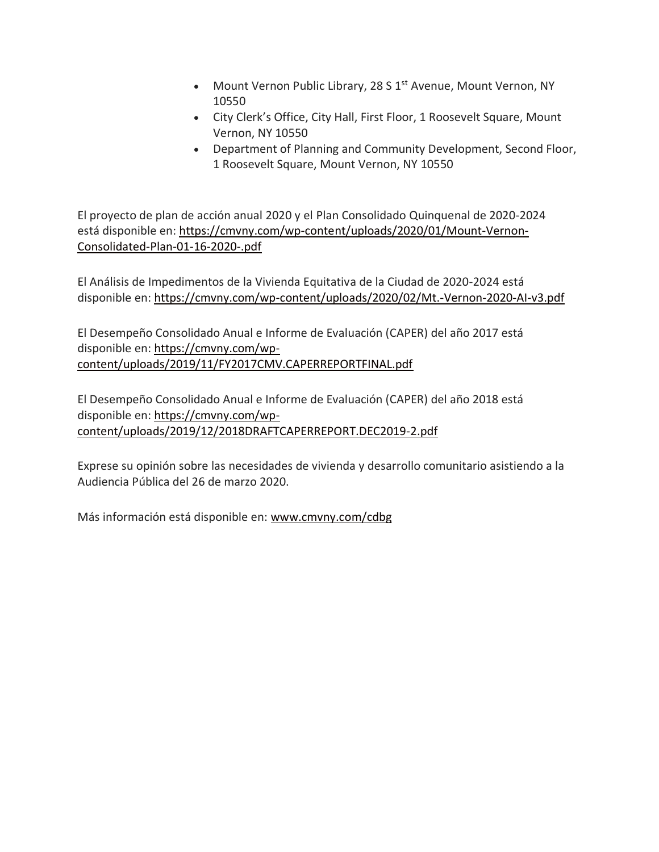- Mount Vernon Public Library, 28 S 1<sup>st</sup> Avenue, Mount Vernon, NY 10550
- City Clerk's Office, City Hall, First Floor, 1 Roosevelt Square, Mount Vernon, NY 10550
- Department of Planning and Community Development, Second Floor, 1 Roosevelt Square, Mount Vernon, NY 10550

El proyecto de plan de acción anual 2020 y el Plan Consolidado Quinquenal de 2020-2024 está disponible en: [https://cmvny.com/wp-content/uploads/2020/01/Mount-Vernon-](https://cmvny.com/wp-content/uploads/2020/01/Mount-Vernon-Consolidated-Plan-01-16-2020-.pdf)[Consolidated-Plan-01-16-2020-.pdf](https://cmvny.com/wp-content/uploads/2020/01/Mount-Vernon-Consolidated-Plan-01-16-2020-.pdf)

El Análisis de Impedimentos de la Vivienda Equitativa de la Ciudad de 2020-2024 está disponible en: <https://cmvny.com/wp-content/uploads/2020/02/Mt.-Vernon-2020-AI-v3.pdf>

El Desempeño Consolidado Anual e Informe de Evaluación (CAPER) del año 2017 está disponible en: [https://cmvny.com/wp](https://cmvny.com/wp-content/uploads/2019/11/FY2017CMV.CAPERREPORTFINAL.pdf)[content/uploads/2019/11/FY2017CMV.CAPERREPORTFINAL.pdf](https://cmvny.com/wp-content/uploads/2019/11/FY2017CMV.CAPERREPORTFINAL.pdf)

El Desempeño Consolidado Anual e Informe de Evaluación (CAPER) del año 2018 está disponible en: [https://cmvny.com/wp](https://cmvny.com/wp-content/uploads/2019/12/2018DRAFTCAPERREPORT.DEC2019-2.pdf)[content/uploads/2019/12/2018DRAFTCAPERREPORT.DEC2019-2.pdf](https://cmvny.com/wp-content/uploads/2019/12/2018DRAFTCAPERREPORT.DEC2019-2.pdf)

Exprese su opinión sobre las necesidades de vivienda y desarrollo comunitario asistiendo a la Audiencia Pública del 26 de marzo 2020.

Más información está disponible en: [www.cmvny.com/cdbg](http://www.cmvny.com/cdbg)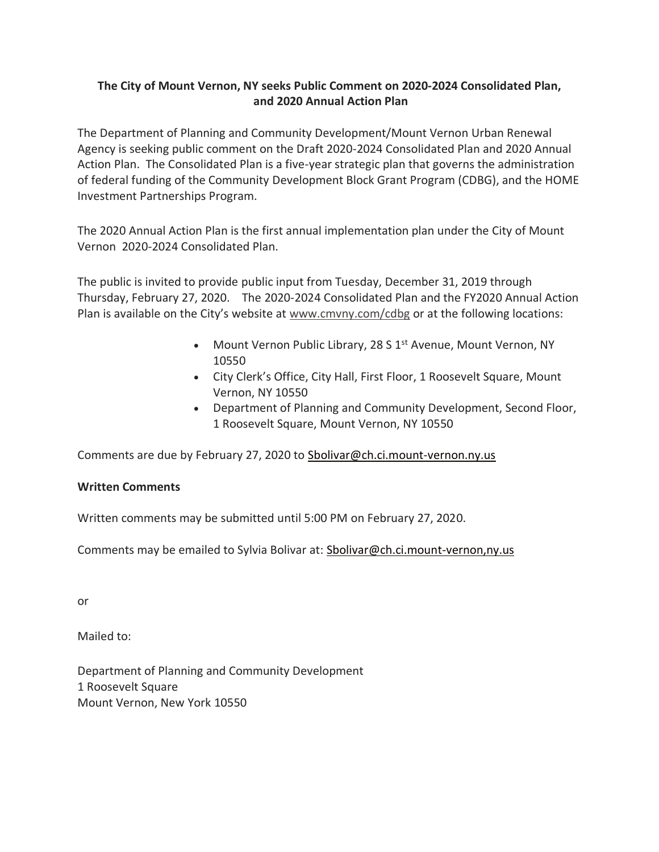# **The City of Mount Vernon, NY seeks Public Comment on 2020-2024 Consolidated Plan, and 2020 Annual Action Plan**

The Department of Planning and Community Development/Mount Vernon Urban Renewal Agency is seeking public comment on the Draft 2020-2024 Consolidated Plan and 2020 Annual Action Plan. The Consolidated Plan is a five-year strategic plan that governs the administration of federal funding of the Community Development Block Grant Program (CDBG), and the HOME Investment Partnerships Program.

The 2020 Annual Action Plan is the first annual implementation plan under the City of Mount Vernon 2020-2024 Consolidated Plan.

The public is invited to provide public input from Tuesday, December 31, 2019 through Thursday, February 27, 2020. The 2020-2024 Consolidated Plan and the FY2020 Annual Action Plan is available on the City's website at [www.cmvny.com/cdbg](http://www.cmvny.com/cdbg) or at the following locations:

- Mount Vernon Public Library, 28 S 1<sup>st</sup> Avenue, Mount Vernon, NY 10550
- City Clerk's Office, City Hall, First Floor, 1 Roosevelt Square, Mount Vernon, NY 10550
- Department of Planning and Community Development, Second Floor, 1 Roosevelt Square, Mount Vernon, NY 10550

Comments are due by February 27, 2020 to [Sbolivar@ch.ci.mount-vernon.ny.us](mailto:Sbolivar@ch.ci.mount-vernon.ny.us)

## **Written Comments**

Written comments may be submitted until 5:00 PM on February 27, 2020.

Comments may be emailed to Sylvia Bolivar at: [Sbolivar@ch.ci.mount-vernon,ny.us](mailto:Sbolivar@ch.ci.mount-vernon,ny.us)

or

Mailed to:

Department of Planning and Community Development 1 Roosevelt Square Mount Vernon, New York 10550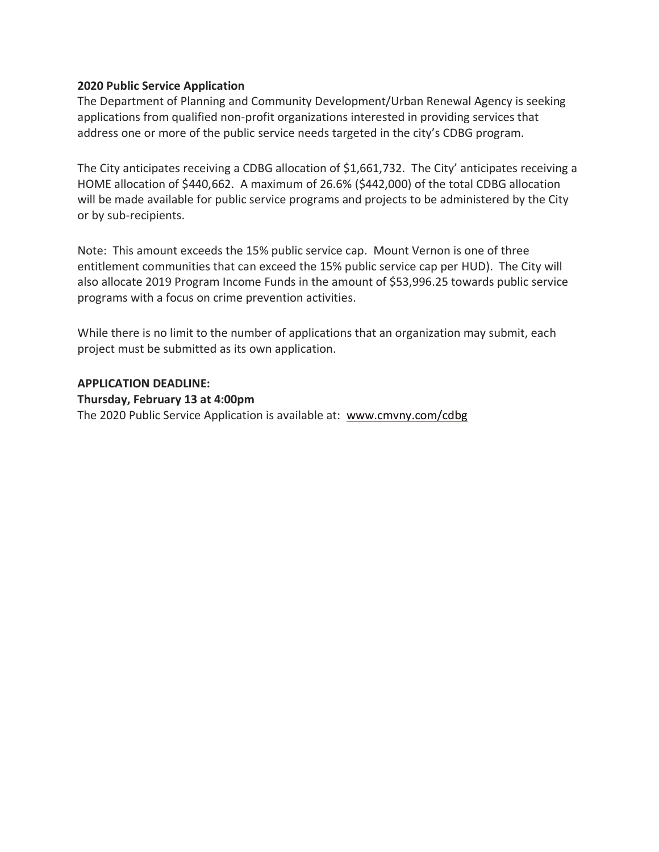### **2020 Public Service Application**

The Department of Planning and Community Development/Urban Renewal Agency is seeking applications from qualified non-profit organizations interested in providing services that address one or more of the public service needs targeted in the city's CDBG program.

The City anticipates receiving a CDBG allocation of \$1,661,732. The City' anticipates receiving a HOME allocation of \$440,662. A maximum of 26.6% (\$442,000) of the total CDBG allocation will be made available for public service programs and projects to be administered by the City or by sub-recipients.

Note: This amount exceeds the 15% public service cap. Mount Vernon is one of three entitlement communities that can exceed the 15% public service cap per HUD). The City will also allocate 2019 Program Income Funds in the amount of \$53,996.25 towards public service programs with a focus on crime prevention activities.

While there is no limit to the number of applications that an organization may submit, each project must be submitted as its own application.

#### **APPLICATION DEADLINE:**

**Thursday, February 13 at 4:00pm**

The 2020 Public Service Application is available at: [www.cmvny.com/cdbg](http://www.cmvny.com/cdbg)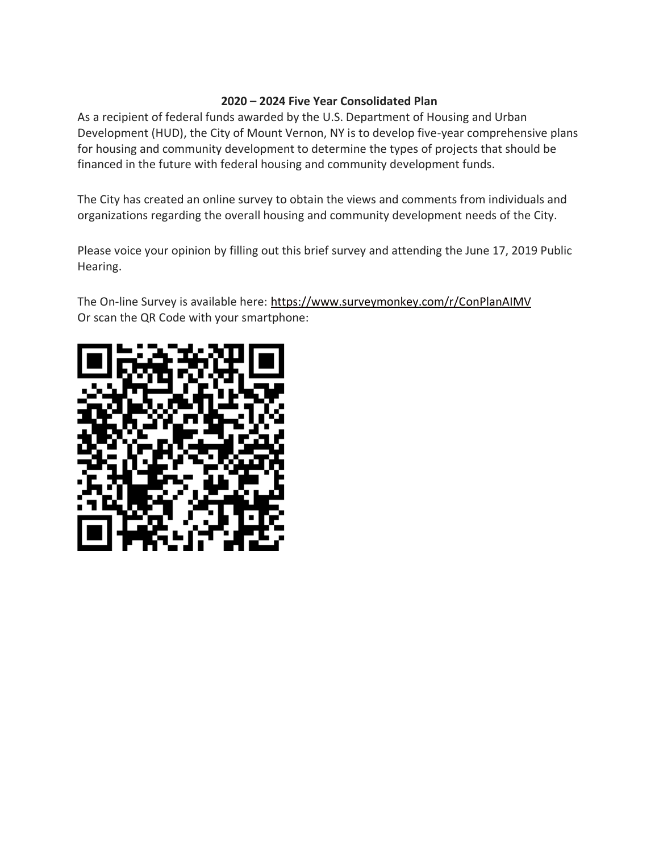### **2020 – 2024 Five Year Consolidated Plan**

As a recipient of federal funds awarded by the U.S. Department of Housing and Urban Development (HUD), the City of Mount Vernon, NY is to develop five-year comprehensive plans for housing and community development to determine the types of projects that should be financed in the future with federal housing and community development funds.

The City has created an online survey to obtain the views and comments from individuals and organizations regarding the overall housing and community development needs of the City.

Please voice your opinion by filling out this brief survey and attending the June 17, 2019 Public Hearing.

The On-line Survey is available here: <https://www.surveymonkey.com/r/ConPlanAIMV> Or scan the QR Code with your smartphone: